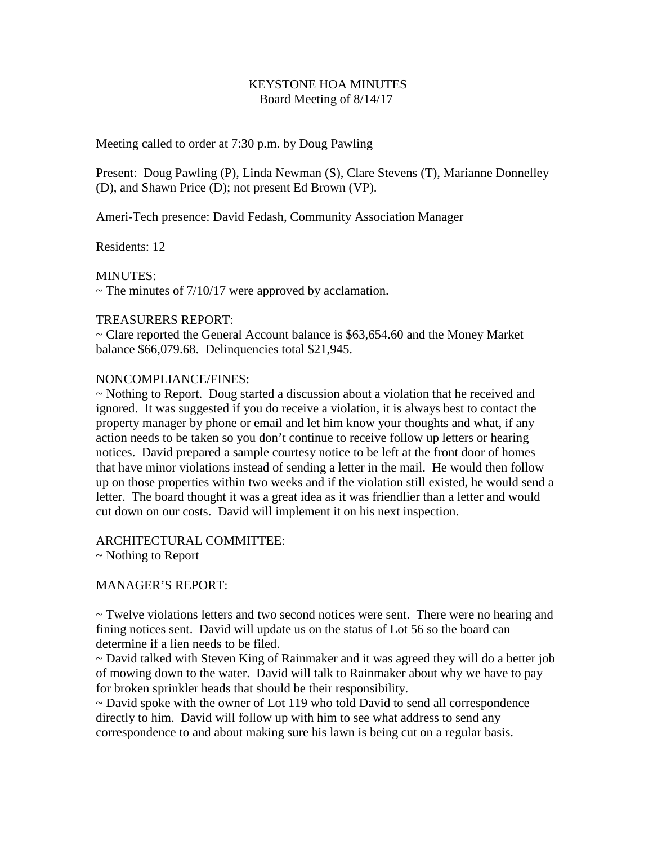## KEYSTONE HOA MINUTES Board Meeting of 8/14/17

## Meeting called to order at 7:30 p.m. by Doug Pawling

Present: Doug Pawling (P), Linda Newman (S), Clare Stevens (T), Marianne Donnelley (D), and Shawn Price (D); not present Ed Brown (VP).

Ameri-Tech presence: David Fedash, Community Association Manager

Residents: 12

MINUTES:

 $\sim$  The minutes of 7/10/17 were approved by acclamation.

## TREASURERS REPORT:

~ Clare reported the General Account balance is \$63,654.60 and the Money Market balance \$66,079.68. Delinquencies total \$21,945.

## NONCOMPLIANCE/FINES:

~ Nothing to Report. Doug started a discussion about a violation that he received and ignored. It was suggested if you do receive a violation, it is always best to contact the property manager by phone or email and let him know your thoughts and what, if any action needs to be taken so you don't continue to receive follow up letters or hearing notices. David prepared a sample courtesy notice to be left at the front door of homes that have minor violations instead of sending a letter in the mail. He would then follow up on those properties within two weeks and if the violation still existed, he would send a letter. The board thought it was a great idea as it was friendlier than a letter and would cut down on our costs. David will implement it on his next inspection.

# ARCHITECTURAL COMMITTEE:

~ Nothing to Report

# MANAGER'S REPORT:

 $\sim$  Twelve violations letters and two second notices were sent. There were no hearing and fining notices sent. David will update us on the status of Lot 56 so the board can determine if a lien needs to be filed.

~ David talked with Steven King of Rainmaker and it was agreed they will do a better job of mowing down to the water. David will talk to Rainmaker about why we have to pay for broken sprinkler heads that should be their responsibility.

 $\sim$  David spoke with the owner of Lot 119 who told David to send all correspondence directly to him. David will follow up with him to see what address to send any correspondence to and about making sure his lawn is being cut on a regular basis.